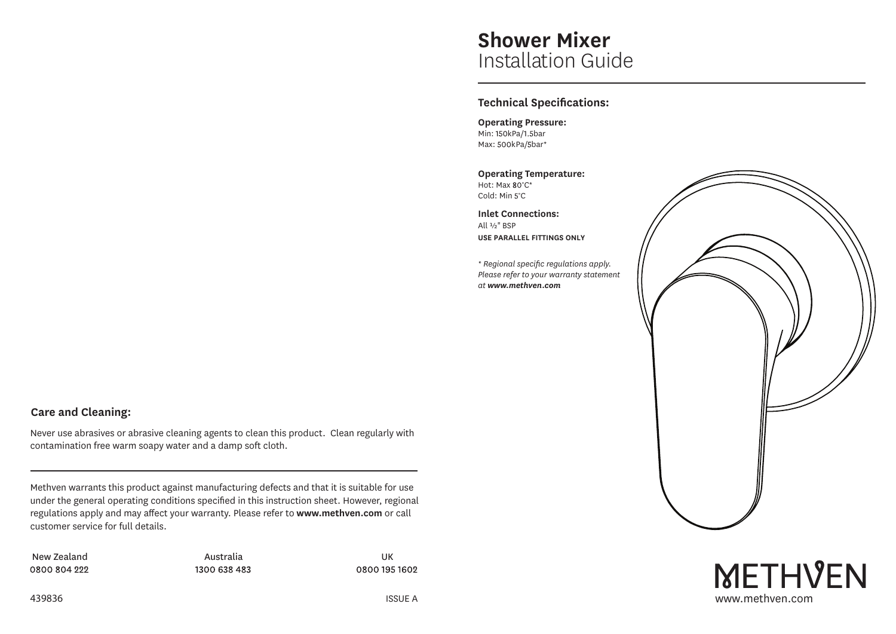## **Shower Mixer** Installation Guide

## **Technical Specifications:**

**Operating Pressure:** Min: 150kPa/1.5bar Max: 500kPa/5bar\*

**Operating Temperature:** Hot: Max 80°C\* Cold: Min 5°C

**Inlet Connections:** All ½" BSP **USE PARALLEL FITTINGS ONLY**

*\* Regional specific regulations apply. Please refer to your warranty statement at www.methven.com*



# **METHVEN** ISSUE A www.methven.com

## **Care and Cleaning:**

Never use abrasives or abrasive cleaning agents to clean this product. Clean regularly with contamination free warm soapy water and a damp soft cloth.

Methven warrants this product against manufacturing defects and that it is suitable for use under the general operating conditions specified in this instruction sheet. However, regional regulations apply and may affect your warranty. Please refer to **www.methven.com** or call customer service for full details.

New Zealand and an analytic Australia and Australia and the UK 0800 804 222

1300 638 483

0800 195 1602